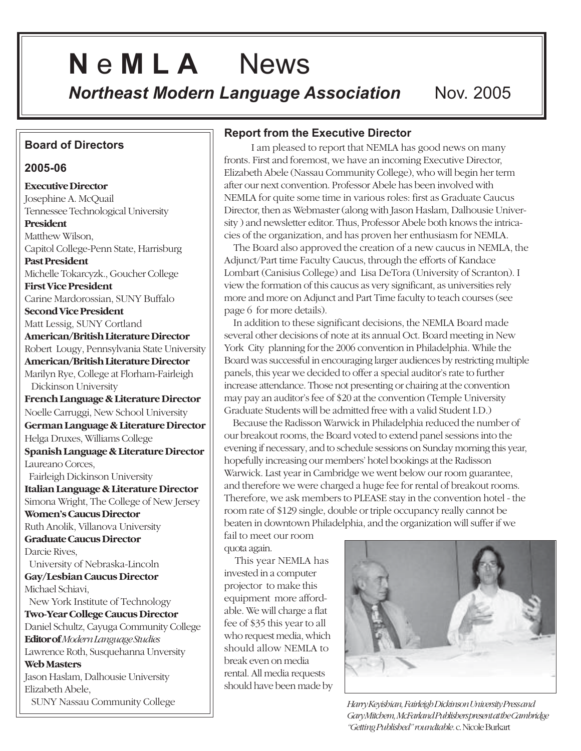# **N** e **M L A** News

**Northeast Modern Language Association Nov. 2005** 

# **Board of Directors**

#### **2005-06**

**Executive Director** Josephine A. McQuail Tennessee Technological University **President** Matthew Wilson, Capitol College-Penn State, Harrisburg **Past President** Michelle Tokarcyzk., Goucher College **First Vice President** Carine Mardorossian, SUNY Buffalo **Second Vice President** Matt Lessig, SUNY Cortland **American/British Literature Director** Robert Lougy, Pennsylvania State University **American/British Literature Director** Marilyn Rye, College at Florham-Fairleigh Dickinson University **French Language & Literature Director** Noelle Carruggi, New School University **German Language & Literature Director** Helga Druxes, Williams College **Spanish Language & Literature Director** Laureano Corces, Fairleigh Dickinson University **Italian Language & Literature Director** Simona Wright, The College of New Jersey **Women's Caucus Director** Ruth Anolik, Villanova University **Graduate Caucus Director** Darcie Rives, University of Nebraska-Lincoln **Gay/Lesbian Caucus Director** Michael Schiavi, New York Institute of Technology **Two-Year College Caucus Director** Daniel Schultz, Cayuga Community College **Editor of***Modern Language Studies* Lawrence Roth, Susquehanna Unversity **Web Masters** Jason Haslam, Dalhousie University Elizabeth Abele, SUNY Nassau Community College

# **Report from the Executive Director**

 I am pleased to report that NEMLA has good news on many fronts. First and foremost, we have an incoming Executive Director, Elizabeth Abele (Nassau Community College), who will begin her term after our next convention. Professor Abele has been involved with NEMLA for quite some time in various roles: first as Graduate Caucus Director, then as Webmaster (along with Jason Haslam, Dalhousie University ) and newsletter editor. Thus, Professor Abele both knows the intricacies of the organization, and has proven her enthusiasm for NEMLA.

 The Board also approved the creation of a new caucus in NEMLA, the Adjunct/Part time Faculty Caucus, through the efforts of Kandace Lombart (Canisius College) and Lisa DeTora (University of Scranton). I view the formation of this caucus as very significant, as universities rely more and more on Adjunct and Part Time faculty to teach courses (see page 6 for more details).

 In addition to these significant decisions, the NEMLA Board made several other decisions of note at its annual Oct. Board meeting in New York City planning for the 2006 convention in Philadelphia. While the Board was successful in encouraging larger audiences by restricting multiple panels, this year we decided to offer a special auditor's rate to further increase attendance. Those not presenting or chairing at the convention may pay an auditor's fee of \$20 at the convention (Temple University Graduate Students will be admitted free with a valid Student I.D.)

 Because the Radisson Warwick in Philadelphia reduced the number of our breakout rooms, the Board voted to extend panel sessions into the evening if necessary, and to schedule sessions on Sunday morning this year, hopefully increasing our members' hotel bookings at the Radisson Warwick. Last year in Cambridge we went below our room guarantee, and therefore we were charged a huge fee for rental of breakout rooms. Therefore, we ask members to PLEASE stay in the convention hotel - the room rate of \$129 single, double or triple occupancy really cannot be beaten in downtown Philadelphia, and the organization will suffer if we

fail to meet our room quota again.

 This year NEMLA has invested in a computer projector to make this equipment more affordable. We will charge a flat fee of \$35 this year to all who request media, which should allow NEMLA to break even on media rental. All media requests should have been made by



*Harry Keyishian, Fairleigh Dickinson University Press and Gary Mitchem, McFarland Publishers present at the Cambridge "Getting Published" roundtable.* c. Nicole Burkart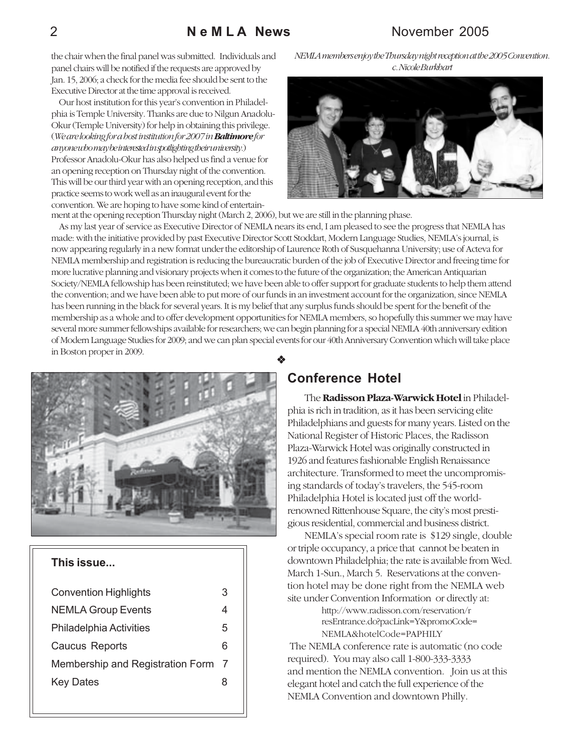### 2 **N e M L A News** November 2005

the chair when the final panel was submitted. Individuals and panel chairs will be notified if the requests are approved by Jan. 15, 2006; a check for the media fee should be sent to the Executive Director at the time approval is received.

 Our host institution for this year's convention in Philadelphia is Temple University. Thanks are due to Nilgun Anadolu-Okur (Temple University) for help in obtaining this privilege. (*We are looking for a host institution for 2007 in Baltimore for anyone who may be interested in spotlighting their university.*) Professor Anadolu-Okur has also helped us find a venue for an opening reception on Thursday night of the convention. This will be our third year with an opening reception, and this practice seems to work well as an inaugural event for the convention. We are hoping to have some kind of entertain-





ment at the opening reception Thursday night (March 2, 2006), but we are still in the planning phase.

 As my last year of service as Executive Director of NEMLA nears its end, I am pleased to see the progress that NEMLA has made: with the initiative provided by past Executive Director Scott Stoddart, Modern Language Studies, NEMLA's journal, is now appearing regularly in a new format under the editorship of Laurence Roth of Susquehanna University; use of Acteva for NEMLA membership and registration is reducing the bureaucratic burden of the job of Executive Director and freeing time for more lucrative planning and visionary projects when it comes to the future of the organization; the American Antiquarian Society/NEMLA fellowship has been reinstituted; we have been able to offer support for graduate students to help them attend the convention; and we have been able to put more of our funds in an investment account for the organization, since NEMLA has been running in the black for several years. It is my belief that any surplus funds should be spent for the benefit of the membership as a whole and to offer development opportunities for NEMLA members, so hopefully this summer we may have several more summer fellowships available for researchers; we can begin planning for a special NEMLA 40th anniversary edition of Modern Language Studies for 2009; and we can plan special events for our 40th Anniversary Convention which will take place in Boston proper in 2009.



### **This issue...**

| <b>Convention Highlights</b>     | 3 |
|----------------------------------|---|
| <b>NEMLA Group Events</b>        | 4 |
| <b>Philadelphia Activities</b>   | 5 |
| <b>Caucus Reports</b>            | 6 |
| Membership and Registration Form | 7 |
| <b>Key Dates</b>                 | 8 |
|                                  |   |

#### **Conference Hotel**

The **Radisson Plaza-Warwick Hotel** in Philadelphia is rich in tradition, as it has been servicing elite Philadelphians and guests for many years. Listed on the National Register of Historic Places, the Radisson Plaza-Warwick Hotel was originally constructed in 1926 and features fashionable English Renaissance architecture. Transformed to meet the uncompromising standards of today's travelers, the 545-room Philadelphia Hotel is located just off the worldrenowned Rittenhouse Square, the city's most prestigious residential, commercial and business district.

NEMLA's special room rate is \$129 single, double or triple occupancy, a price that cannot be beaten in downtown Philadelphia; the rate is available from Wed. March 1-Sun., March 5. Reservations at the convention hotel may be done right from the NEMLA web site under Convention Information or directly at:

> http://www.radisson.com/reservation/r resEntrance.do?pacLink=Y&promoCode= NEMLA&hotelCode=PAPHILY

 The NEMLA conference rate is automatic (no code required). You may also call 1-800-333-3333 and mention the NEMLA convention. Join us at this elegant hotel and catch the full experience of the NEMLA Convention and downtown Philly.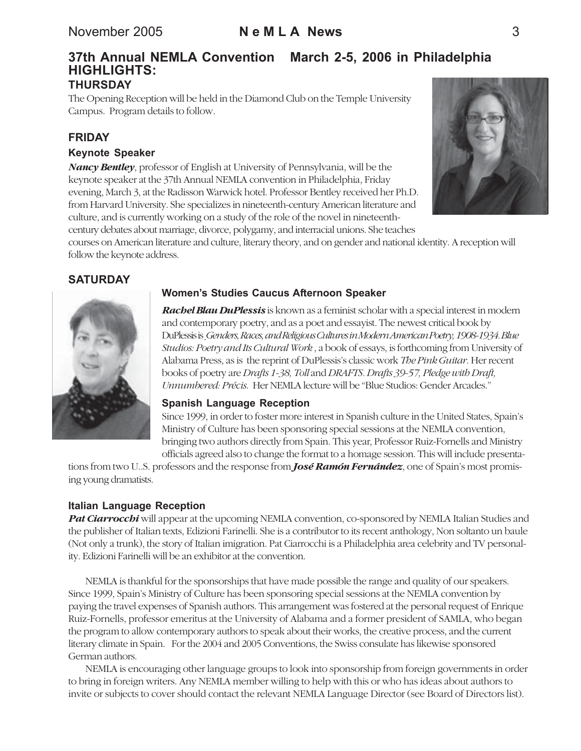### **37th Annual NEMLA Convention March 2-5, 2006 in Philadelphia HIGHLIGHTS: THURSDAY**

The Opening Reception will be held in the Diamond Club on the Temple University Campus. Program details to follow.

### **FRIDAY**

#### **Keynote Speaker**

*Nancy Bentley*, professor of English at University of Pennsylvania, will be the keynote speaker at the 37th Annual NEMLA convention in Philadelphia, Friday evening, March 3, at the Radisson Warwick hotel. Professor Bentley received her Ph.D. from Harvard University. She specializes in nineteenth-century American literature and culture, and is currently working on a study of the role of the novel in nineteenthcentury debates about marriage, divorce, polygamy, and interracial unions. She teaches



courses on American literature and culture, literary theory, and on gender and national identity. A reception will follow the keynote address.

# **SATURDAY**



# **Womenís Studies Caucus Afternoon Speaker**

*Rachel Blau DuPlessis* is known as a feminist scholar with a special interest in modern and contemporary poetry, and as a poet and essayist. The newest critical book by DuPlessis is *Genders, Races, and Religious Cultures in Modern American Poetry, 1908-1934. Blue Studios: Poetry and Its Cultural Work* , a book of essays, is forthcoming from University of Alabama Press, as is the reprint of DuPlessis's classic work *The Pink Guitar*. Her recent books of poetry are *Drafts 1-38, Toll* and *DRAFTS. Drafts 39-57, Pledge with Draft, Unnumbered: Précis*. Her NEMLA lecture will be "Blue Studios: Gender Arcades."

#### **Spanish Language Reception**

Since 1999, in order to foster more interest in Spanish culture in the United States, Spain's Ministry of Culture has been sponsoring special sessions at the NEMLA convention, bringing two authors directly from Spain. This year, Professor Ruiz-Fornells and Ministry officials agreed also to change the format to a homage session. This will include presenta-

tions from two U..S. professors and the response from *José Ramón Fernández*, one of Spain's most promising young dramatists.

### **Italian Language Reception**

**Pat Ciarrocchi** will appear at the upcoming NEMLA convention, co-sponsored by NEMLA Italian Studies and the publisher of Italian texts, Edizioni Farinelli. She is a contributor to its recent anthology, Non soltanto un baule (Not only a trunk), the story of Italian imigration. Pat Ciarrocchi is a Philadelphia area celebrity and TV personality. Edizioni Farinelli will be an exhibitor at the convention.

NEMLA is thankful for the sponsorships that have made possible the range and quality of our speakers. Since 1999, Spain's Ministry of Culture has been sponsoring special sessions at the NEMLA convention by paying the travel expenses of Spanish authors. This arrangement was fostered at the personal request of Enrique Ruiz-Fornells, professor emeritus at the University of Alabama and a former president of SAMLA, who began the program to allow contemporary authors to speak about their works, the creative process, and the current literary climate in Spain. For the 2004 and 2005 Conventions, the Swiss consulate has likewise sponsored German authors.

NEMLA is encouraging other language groups to look into sponsorship from foreign governments in order to bring in foreign writers. Any NEMLA member willing to help with this or who has ideas about authors to invite or subjects to cover should contact the relevant NEMLA Language Director (see Board of Directors list).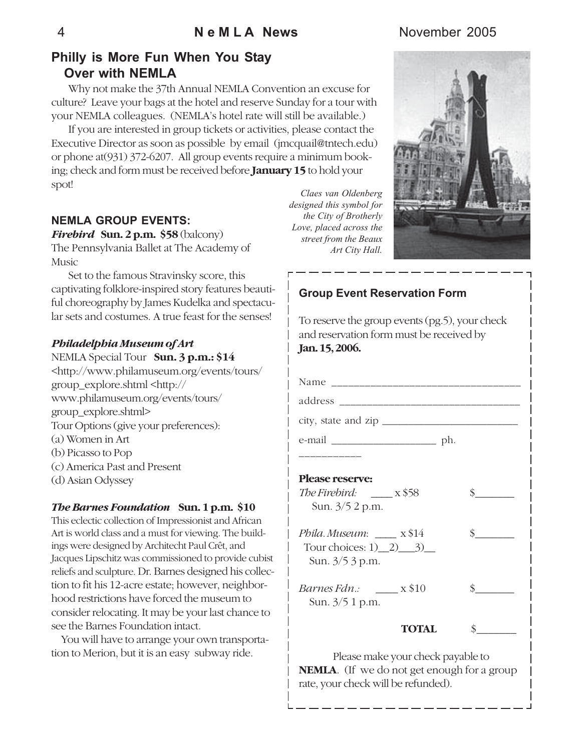# **Philly is More Fun When You Stay Over with NEMLA**

Why not make the 37th Annual NEMLA Convention an excuse for culture? Leave your bags at the hotel and reserve Sunday for a tour with your NEMLA colleagues. (NEMLA's hotel rate will still be available.)

If you are interested in group tickets or activities, please contact the Executive Director as soon as possible by email (jmcquail@tntech.edu) or phone at(931) 372-6207. All group events require a minimum booking; check and form must be received before **January 15** to hold your spot!

# **NEMLA GROUP EVENTS:**

*Firebird* **Sun. 2 p.m. \$58** (balcony) The Pennsylvania Ballet at The Academy of Music

Set to the famous Stravinsky score, this captivating folklore-inspired story features beautiful choreography by James Kudelka and spectacular sets and costumes. A true feast for the senses!

#### *Philadelphia Museum of Art*

- NEMLA Special Tour **Sun. 3 p.m.: \$14** <http://www.philamuseum.org/events/tours/ group\_explore.shtml <http:// www.philamuseum.org/events/tours/ group\_explore.shtml> Tour Options (give your preferences): (a) Women in Art (b) Picasso to Pop (c) America Past and Present
- (d) Asian Odyssey

#### *The Barnes Foundation* **Sun. 1 p.m. \$10**

This eclectic collection of Impressionist and African Art is world class and a must for viewing. The buildings were designed by Architecht Paul Crêt, and Jacques Lipschitz was commissioned to provide cubist reliefs and sculpture. Dr. Barnes designed his collection to fit his 12-acre estate; however, neighborhood restrictions have forced the museum to consider relocating. It may be your last chance to see the Barnes Foundation intact.

 You will have to arrange your own transportation to Merion, but it is an easy subway ride.

*Claes van Oldenberg designed this symbol for the City of Brotherly Love, placed across the street from the Beaux Art City Hall.*

**Group Event Reservation Form**



| To reserve the group events (pg.5), your check<br>and reservation form must be received by<br>Jan. 15, 2006. |                             |
|--------------------------------------------------------------------------------------------------------------|-----------------------------|
|                                                                                                              |                             |
|                                                                                                              |                             |
|                                                                                                              |                             |
|                                                                                                              |                             |
| __________                                                                                                   |                             |
| <b>Please reserve:</b><br>The Firebird: $\frac{1}{2}$ x \$58<br>Sun. $3/5$ 2 p.m.                            | $\sim$                      |
| Phila. Museum: x\$14<br>Tour choices: $1)$ $2)$ $3)$<br>Sun. 3/5 3 p.m.                                      | s                           |
| <i>Barnes Fdn.:</i> $\_\_\_$ x \$10<br>Sun. 3/5 1 p.m.                                                       | $\frac{\text{S}}{\text{S}}$ |
| <b>TOTAL</b>                                                                                                 | $\frac{\text{S}}{\text{S}}$ |

Please make your check payable to **NEMLA**. (If we do not get enough for a group rate, your check will be refunded).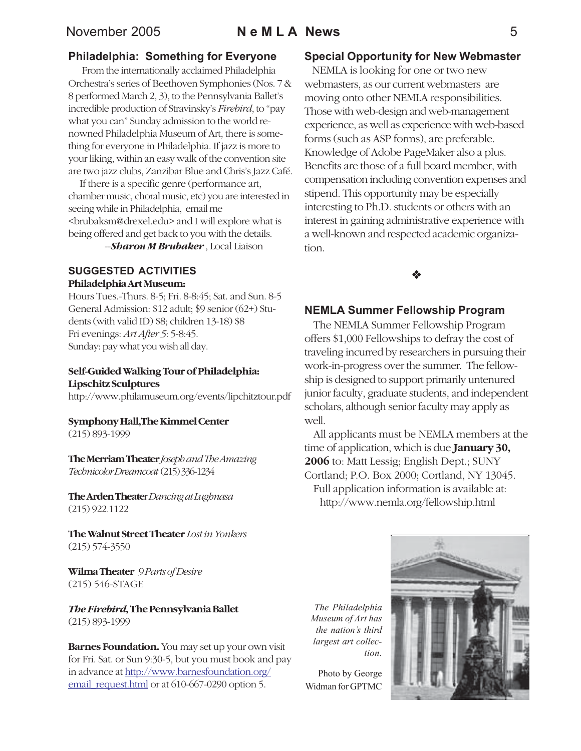### November 2005 **N e M L A News** 5

#### **Philadelphia: Something for Everyone**

 From the internationally acclaimed Philadelphia Orchestra's series of Beethoven Symphonies (Nos. 7 & 8 performed March 2, 3), to the Pennsylvania Ballet's incredible production of Stravinsky's *Firebird*, to "pay what you can" Sunday admission to the world renowned Philadelphia Museum of Art, there is something for everyone in Philadelphia. If jazz is more to your liking, within an easy walk of the convention site are two jazz clubs, Zanzibar Blue and Chris's Jazz Café.

 If there is a specific genre (performance art, chamber music, choral music, etc) you are interested in seeing while in Philadelphia, email me <brubaksm@drexel.edu> and I will explore what is being offered and get back to you with the details.

--*Sharon M Brubaker* , Local Liaison

#### **SUGGESTED ACTIVITIES Philadelphia Art Museum:**

Hours Tues.-Thurs. 8-5; Fri. 8-8:45; Sat. and Sun. 8-5 General Admission: \$12 adult; \$9 senior (62+) Students (with valid ID) \$8; children 13-18) \$8 Fri evenings: *Art After 5*: 5-8:45. Sunday: pay what you wish all day.

#### **Self-Guided Walking Tour of Philadelphia: Lipschitz Sculptures**

http://www.philamuseum.org/events/lipchitztour.pdf

# **Symphony Hall,The Kimmel Center**

(215) 893-1999

**The Merriam Theater** *Joseph and The Amazing Technicolor Dreamcoat* (215) 336-1234

**The Arden Theate**r *Dancing at Lughnasa* (215) 922.1122

**The Walnut Street Theater** *Lost in Yonkers* (215) 574-3550

**Wilma Theater** *9 Parts of Desire* (215) 546-STAGE

*The Firebird***, The Pennsylvania Ballet** (215) 893-1999

**Barnes Foundation.** You may set up your own visit for Fri. Sat. or Sun 9:30-5, but you must book and pay in advance at http://www.barnesfoundation.org/ email\_request.html or at 610-667-0290 option 5.

#### **Special Opportunity for New Webmaster**

 NEMLA is looking for one or two new webmasters, as our current webmasters are moving onto other NEMLA responsibilities. Those with web-design and web-management experience, as well as experience with web-based forms (such as ASP forms), are preferable. Knowledge of Adobe PageMaker also a plus. Benefits are those of a full board member, with compensation including convention expenses and stipend. This opportunity may be especially interesting to Ph.D. students or others with an interest in gaining administrative experience with a well-known and respected academic organization.



#### **NEMLA Summer Fellowship Program**

The NEMLA Summer Fellowship Program offers \$1,000 Fellowships to defray the cost of traveling incurred by researchers in pursuing their work-in-progress over the summer. The fellowship is designed to support primarily untenured junior faculty, graduate students, and independent scholars, although senior faculty may apply as well.

All applicants must be NEMLA members at the time of application, which is due **January 30, 2006** to: Matt Lessig; English Dept.; SUNY Cortland; P.O. Box 2000; Cortland, NY 13045. Full application information is available at: http://www.nemla.org/fellowship.html

*The Philadelphia Museum of Art has* the nation's third *largest art collection.*

Photo by George Widman for GPTMC

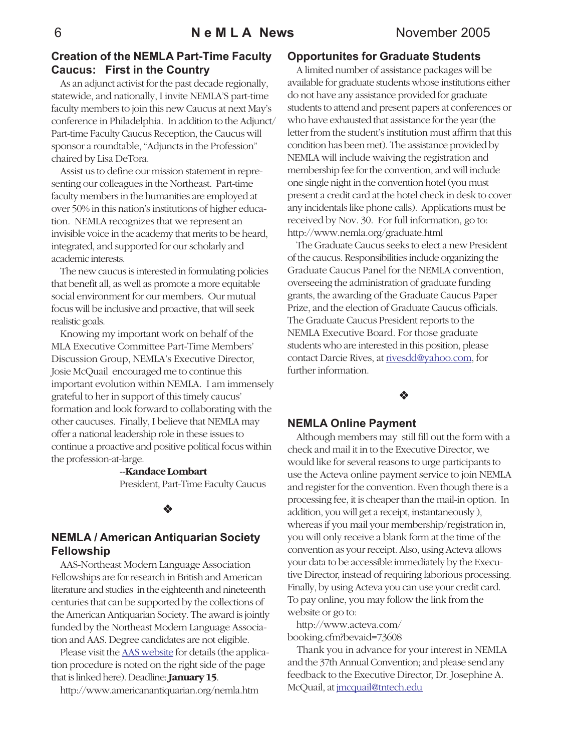# **Creation of the NEMLA Part-Time Faculty Caucus: First in the Country**

As an adjunct activist for the past decade regionally, statewide, and nationally, I invite NEMLA'S part-time faculty members to join this new Caucus at next May's conference in Philadelphia. In addition to the Adjunct/ Part-time Faculty Caucus Reception, the Caucus will sponsor a roundtable, "Adjuncts in the Profession" chaired by Lisa DeTora.

Assist us to define our mission statement in representing our colleagues in the Northeast. Part-time faculty members in the humanities are employed at over 50% in this nation's institutions of higher education. NEMLA recognizes that we represent an invisible voice in the academy that merits to be heard, integrated, and supported for our scholarly and academic interests.

The new caucus is interested in formulating policies that benefit all, as well as promote a more equitable social environment for our members. Our mutual focus will be inclusive and proactive, that will seek realistic goals.

Knowing my important work on behalf of the MLA Executive Committee Part-Time Members' Discussion Group, NEMLA's Executive Director, Josie McQuail encouraged me to continue this important evolution within NEMLA. I am immensely grateful to her in support of this timely caucus' formation and look forward to collaborating with the other caucuses. Finally, I believe that NEMLA may offer a national leadership role in these issues to continue a proactive and positive political focus within the profession-at-large.

#### --**Kandace Lombart**

President, Part-Time Faculty Caucus

#### $\bullet$

# **NEMLA / American Antiquarian Society Fellowship**

AAS-Northeast Modern Language Association Fellowships are for research in British and American literature and studies in the eighteenth and nineteenth centuries that can be supported by the collections of the American Antiquarian Society. The award is jointly funded by the Northeast Modern Language Association and AAS. Degree candidates are not eligible.

Please visit the AAS website for details (the application procedure is noted on the right side of the page that is linked here). Deadline: **January 15**.

http://www.americanantiquarian.org/nemla.htm

# **Opportunites for Graduate Students**

A limited number of assistance packages will be available for graduate students whose institutions either do not have any assistance provided for graduate students to attend and present papers at conferences or who have exhausted that assistance for the year (the letter from the student's institution must affirm that this condition has been met). The assistance provided by NEMLA will include waiving the registration and membership fee for the convention, and will include one single night in the convention hotel (you must present a credit card at the hotel check in desk to cover any incidentals like phone calls). Applications must be received by Nov. 30. For full information, go to: http://www.nemla.org/graduate.html

The Graduate Caucus seeks to elect a new President of the caucus. Responsibilities include organizing the Graduate Caucus Panel for the NEMLA convention, overseeing the administration of graduate funding grants, the awarding of the Graduate Caucus Paper Prize, and the election of Graduate Caucus officials. The Graduate Caucus President reports to the NEMLA Executive Board. For those graduate students who are interested in this position, please contact Darcie Rives, at rivesdd@yahoo.com, for further information.

# \*

#### **NEMLA Online Payment**

Although members may still fill out the form with a check and mail it in to the Executive Director, we would like for several reasons to urge participants to use the Acteva online payment service to join NEMLA and register for the convention. Even though there is a processing fee, it is cheaper than the mail-in option. In addition, you will get a receipt, instantaneously ), whereas if you mail your membership/registration in, you will only receive a blank form at the time of the convention as your receipt. Also, using Acteva allows your data to be accessible immediately by the Executive Director, instead of requiring laborious processing. Finally, by using Acteva you can use your credit card. To pay online, you may follow the link from the website or go to:

http://www.acteva.com/ booking.cfm?bevaid=73608

 Thank you in advance for your interest in NEMLA and the 37th Annual Convention; and please send any feedback to the Executive Director, Dr. Josephine A. McQuail, at jmcquail@tntech.edu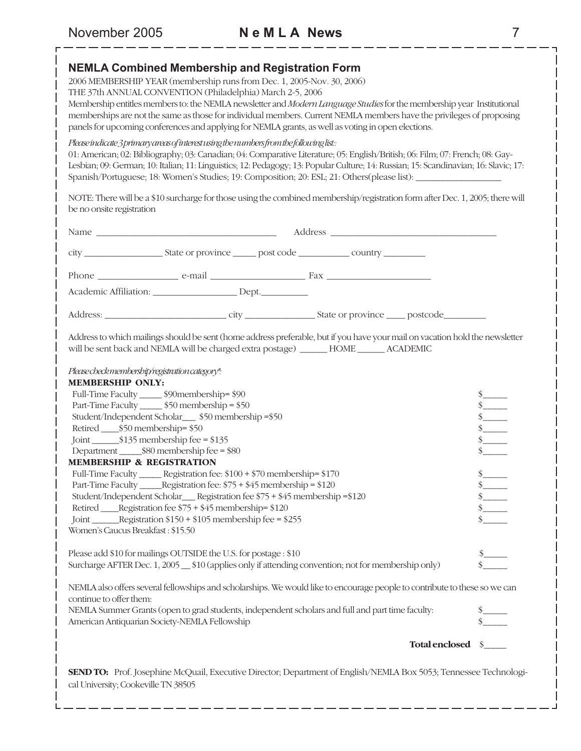#### **NEMLA Combined Membership and Registration Form**

2006 MEMBERSHIP YEAR (membership runs from Dec. 1, 2005-Nov. 30, 2006)

THE 37th ANNUAL CONVENTION (Philadelphia) March 2-5, 2006

Membership entitles members to: the NEMLA newsletter and *Modern Language Studies* for the membership year Institutional memberships are not the same as those for individual members. Current NEMLA members have the privileges of proposing panels for upcoming conferences and applying for NEMLA grants, as well as voting in open elections.

#### *Please indicate 3 primary areas of interest using the numbers from the following list::*

01: American; 02: Bibliography; 03: Canadian; 04: Comparative Literature; 05: English/British; 06: Film; 07: French; 08: Gay-Lesbian; 09: German; 10: Italian; 11: Linguistics; 12: Pedagogy; 13: Popular Culture; 14: Russian; 15: Scandinavian; 16: Slavic; 17: Spanish/Portuguese; 18: Women's Studies; 19: Composition; 20: ESL; 21: Others(please list): \_

NOTE: There will be a \$10 surcharge for those using the combined membership/registration form after Dec. 1, 2005; there will be no onsite registration

| Academic Affiliation: _______________________ Dept.___________                                                                                                                                                           |                   |                                                                                                                         |
|--------------------------------------------------------------------------------------------------------------------------------------------------------------------------------------------------------------------------|-------------------|-------------------------------------------------------------------------------------------------------------------------|
|                                                                                                                                                                                                                          |                   |                                                                                                                         |
| Address to which mailings should be sent (home address preferable, but if you have your mail on vacation hold the newsletter<br>will be sent back and NEMLA will be charged extra postage) _______ HOME _______ ACADEMIC |                   |                                                                                                                         |
| Please check membership/registration category*.                                                                                                                                                                          |                   |                                                                                                                         |
| <b>MEMBERSHIP ONLY:</b>                                                                                                                                                                                                  |                   |                                                                                                                         |
| Full-Time Faculty ______ \$90membership= \$90                                                                                                                                                                            |                   | $\frac{\frac{1}{3}}{\frac{1}{3}}$                                                                                       |
| Part-Time Faculty _______ \$50 membership = \$50                                                                                                                                                                         |                   |                                                                                                                         |
| Student/Independent Scholar____ \$50 membership =\$50                                                                                                                                                                    |                   | $\frac{1}{s}$<br>$\frac{s}{s}$<br>$\frac{s}{s}$                                                                         |
| Retired ______ \$50 membership= \$50                                                                                                                                                                                     |                   |                                                                                                                         |
|                                                                                                                                                                                                                          |                   |                                                                                                                         |
|                                                                                                                                                                                                                          |                   |                                                                                                                         |
| <b>MEMBERSHIP &amp; REGISTRATION</b>                                                                                                                                                                                     |                   |                                                                                                                         |
| Full-Time Faculty ______ Registration fee: \$100 + \$70 membership= \$170                                                                                                                                                |                   |                                                                                                                         |
| Part-Time Faculty ______Registration fee: \$75 + \$45 membership = \$120                                                                                                                                                 |                   | $\begin{array}{c}\n  \  \, 8 \\  \  \, 8 \\ \hline\n  \  \, 8 \\ \hline\n  \  \, 8 \\ \hline\n  \  \, 8 \\ \end{array}$ |
| Student/Independent Scholar___ Registration fee \$75 + \$45 membership = \$120<br>Retired _____Registration fee \$75 + \$45 membership= \$120                                                                            |                   |                                                                                                                         |
| Joint ________Registration \$150 + \$105 membership fee = \$255                                                                                                                                                          |                   |                                                                                                                         |
| Women's Caucus Breakfast: \$15.50                                                                                                                                                                                        |                   |                                                                                                                         |
|                                                                                                                                                                                                                          |                   |                                                                                                                         |
| Please add \$10 for mailings OUTSIDE the U.S. for postage : \$10                                                                                                                                                         |                   |                                                                                                                         |
| Surcharge AFTER Dec. 1, 2005 610 (applies only if attending convention; not for membership only)                                                                                                                         |                   | $\frac{\$}{\$}$                                                                                                         |
|                                                                                                                                                                                                                          |                   |                                                                                                                         |
| NEMLA also offers several fellowships and scholarships. We would like to encourage people to contribute to these so we can<br>continue to offer them:                                                                    |                   |                                                                                                                         |
| NEMLA Summer Grants (open to grad students, independent scholars and full and part time faculty:<br>American Antiquarian Society-NEMLA Fellowship                                                                        |                   | $\frac{\text{s}}{\text{s}}$                                                                                             |
|                                                                                                                                                                                                                          | Total enclosed \$ |                                                                                                                         |
| SEND TO: Prof. Josephine McQuail, Executive Director; Department of English/NEMLA Box 5053; Tennessee Technologi-<br>cal University; Cookeville TN 38505                                                                 |                   |                                                                                                                         |